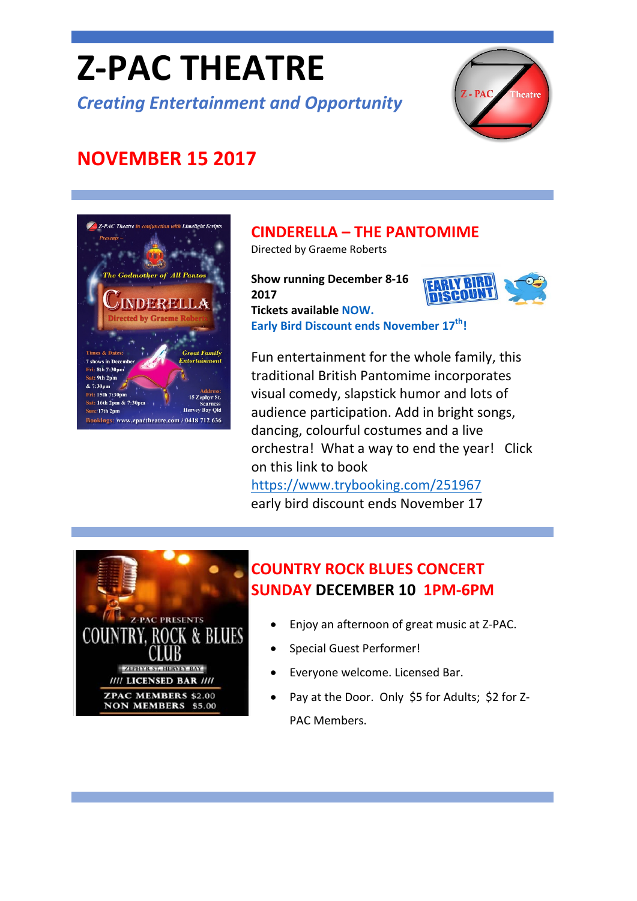# **Z‐PAC THEATRE**

*Creating Entertainment and Opportunity*



# **NOVEMBER 15 2017**



## **CINDERELLA – THE PANTOMIME**

**Early Bird Discount ends November 17th!**

Directed by Graeme Roberts

**Show running December 8‐16 2017 Tickets available [NOW.](https://www.trybooking.com/251967)** 



Fun entertainment for the whole family, this traditional British Pantomime incorporates visual comedy, slapstick humor and lots of audience participation. Add in bright songs, dancing, colourful costumes and a live orchestra! What a way to end the year! Click on this link to book

<https://www.trybooking.com/251967> early bird discount ends November 17



## **COUNTRY ROCK BLUES CONCERT SUNDAY DECEMBER 10 1PM‐6PM**

- Enjoy an afternoon of great music at Z‐PAC.
- Special Guest Performer!
- Everyone welcome. Licensed Bar.
- Pay at the Door. Only \$5 for Adults; \$2 for Z-PAC Members.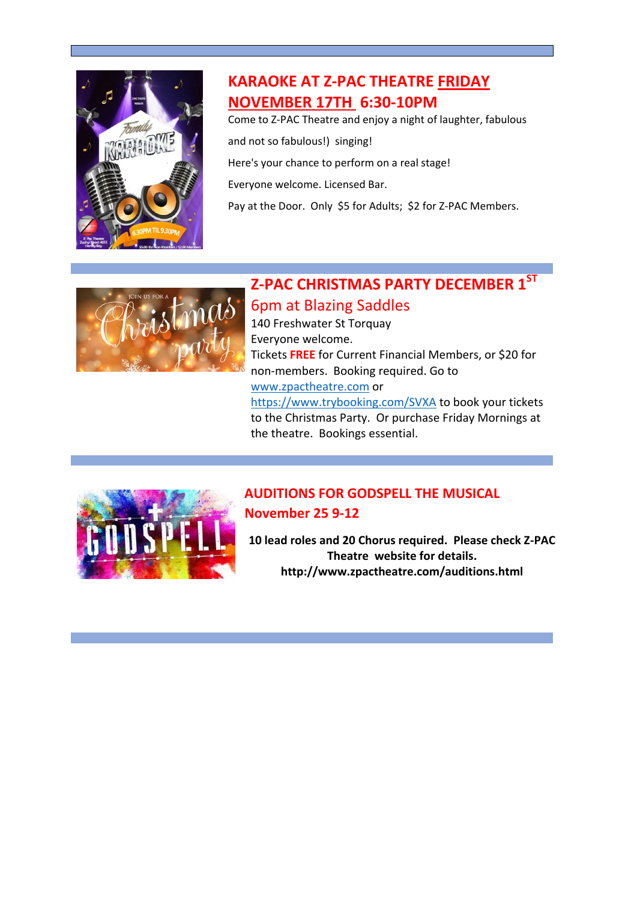

## **KARAOKE AT Z‐PAC THEATRE FRIDAY NOVEMBER 17TH 6:30‐10PM**

Come to Z‐PAC Theatre and enjoy a night of laughter, fabulous

and not so fabulous!) singing!

Here's your chance to perform on a real stage!

Everyone welcome. Licensed Bar.

Pay at the Door. Only \$5 for Adults; \$2 for Z-PAC Members.



## **Z‐PAC CHRISTMAS PARTY DECEMBER 1ST**

#### 6pm at Blazing Saddles

the theatre. Bookings essential.

140 Freshwater St Torquay Everyone welcome. Tickets **FREE** for Current Financial Members, or \$20 for non‐members. Booking required. Go to [www.zpactheatre.com](http://www.zpactheatre.com/) or <https://www.trybooking.com/SVXA> to book your tickets to the Christmas Party. Or purchase Friday Mornings at



#### **AUDITIONS FOR GODSPELL THE MUSICAL November 25 9‐12**

**10 lead roles and 20 Chorus required. Please check Z‐PAC Theatre website for details. http://www.zpactheatre.com/auditions.html**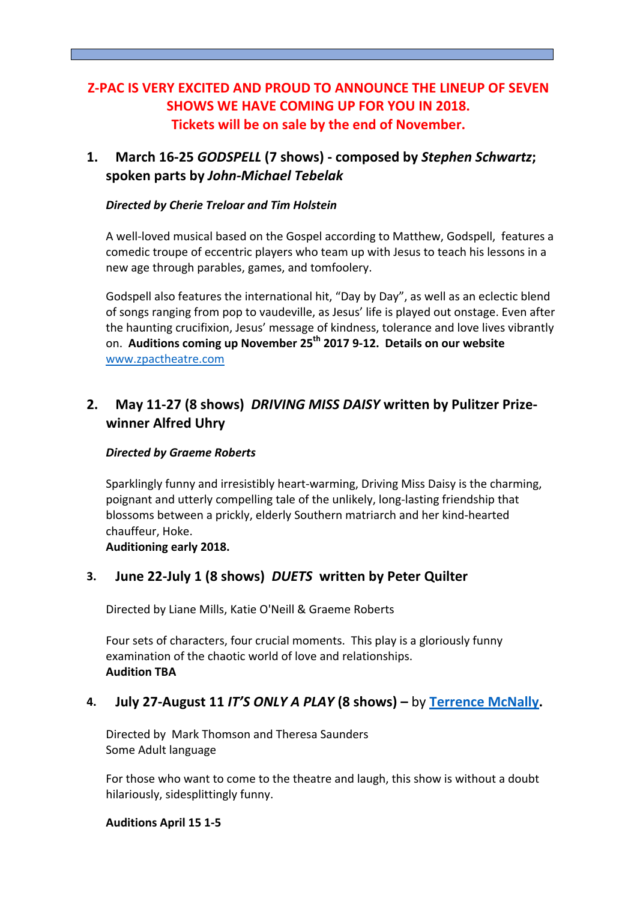#### **Z‐PAC IS VERY EXCITED AND PROUD TO ANNOUNCE THE LINEUP OF SEVEN SHOWS WE HAVE COMING UP FOR YOU IN 2018. Tickets will be on sale by the end of November.**

#### **1. March 16‐25** *GODSPELL* **(7 shows) ‐ composed by** *Stephen Schwartz***; spoken parts by** *John‐Michael Tebelak*

#### *Directed by Cherie Treloar and Tim Holstein*

A well‐loved musical based on the Gospel according to Matthew, Godspell, features a comedic troupe of eccentric players who team up with Jesus to teach his lessons in a new age through parables, games, and tomfoolery.

Godspell also features the international hit, "Day by Day", as well as an eclectic blend of songs ranging from pop to vaudeville, as Jesus' life is played out onstage. Even after the haunting crucifixion, Jesus' message of kindness, tolerance and love lives vibrantly on. **Auditions coming up November 25th 2017 9‐12. Details on our website** [www.zpactheatre.com](http://www.zpactheatre.com/)

#### **2. May 11‐27 (8 shows)** *DRIVING MISS DAISY* **written by Pulitzer Prize‐ winner Alfred Uhry**

#### *Directed by Graeme Roberts*

Sparklingly funny and irresistibly heart‐warming, Driving Miss Daisy is the charming, poignant and utterly compelling tale of the unlikely, long‐lasting friendship that blossoms between a prickly, elderly Southern matriarch and her kind‐hearted chauffeur, Hoke.

**Auditioning early 2018.**

#### **3. June 22‐July 1 (8 shows)** *DUETS* **written by Peter Quilter**

Directed by Liane Mills, Katie O'Neill & Graeme Roberts

Four sets of characters, four crucial moments. This play is a gloriously funny examination of the chaotic world of love and relationships. **Audition TBA**

#### **4. July 27‐August 11** *IT'S ONLY A PLAY* **(8 shows) –** by **[Terrence](https://en.wikipedia.org/wiki/Terrence_McNally) McNally.**

Directed by Mark Thomson and Theresa Saunders Some Adult language

For those who want to come to the theatre and laugh, this show is without a doubt hilariously, sidesplittingly funny.

**Auditions April 15 1‐5**